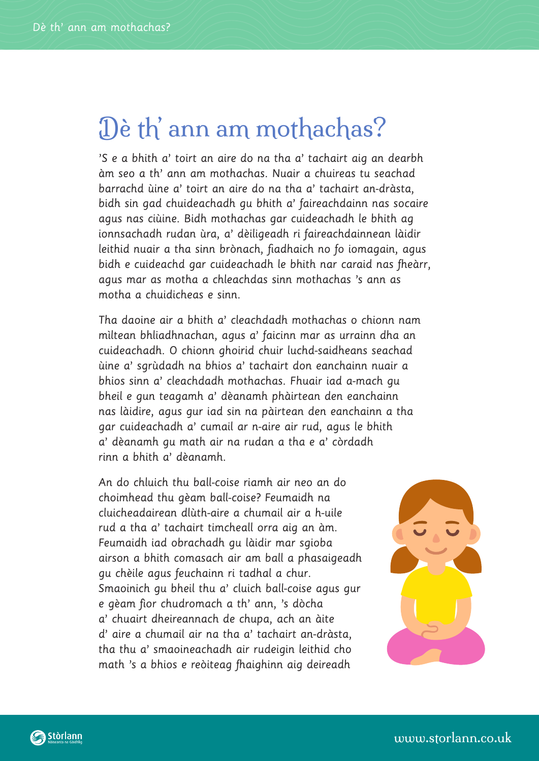## Dè th' ann am mothachas?

'S e a bhith a' toirt an aire do na tha a' tachairt aig an dearbh àm seo a th' ann am mothachas. Nuair a chuireas tu seachad barrachd ùine a' toirt an aire do na tha a' tachairt an-dràsta, bidh sin gad chuideachadh gu bhith a' faireachdainn nas socaire agus nas ciùine. Bidh mothachas gar cuideachadh le bhith ag ionnsachadh rudan ùra, a' dèiligeadh ri faireachdainnean làidir leithid nuair a tha sinn brònach, fiadhaich no fo iomagain, agus bidh e cuideachd gar cuideachadh le bhith nar caraid nas fheàrr, agus mar as motha a chleachdas sinn mothachas 's ann as motha a chuidicheas e sinn.

Tha daoine air a bhith a' cleachdadh mothachas o chionn nam mìltean bhliadhnachan, agus a' faicinn mar as urrainn dha an cuideachadh. O chionn ghoirid chuir luchd-saidheans seachad ùine a' sgrùdadh na bhios a' tachairt don eanchainn nuair a bhios sinn a' cleachdadh mothachas. Fhuair iad a-mach gu bheil e gun teagamh a' dèanamh phàirtean den eanchainn nas làidire, agus gur iad sin na pàirtean den eanchainn a tha gar cuideachadh a' cumail ar n-aire air rud, agus le bhith a' dèanamh gu math air na rudan a tha e a' còrdadh rinn a bhith a' dèanamh.

An do chluich thu ball-coise riamh air neo an do choimhead thu gèam ball-coise? Feumaidh na cluicheadairean dlùth-aire a chumail air a h-uile rud a tha a' tachairt timcheall orra aig an àm. Feumaidh iad obrachadh gu làidir mar sgioba airson a bhith comasach air am ball a phasaigeadh gu chèile agus feuchainn ri tadhal a chur. Smaoinich gu bheil thu a' cluich ball-coise agus gur e gèam fìor chudromach a th' ann, 's dòcha a' chuairt dheireannach de chupa, ach an àite d' aire a chumail air na tha a' tachairt an-dràsta, tha thu a' smaoineachadh air rudeigin leithid cho math 's a bhios e reòiteag fhaighinn aig deireadh

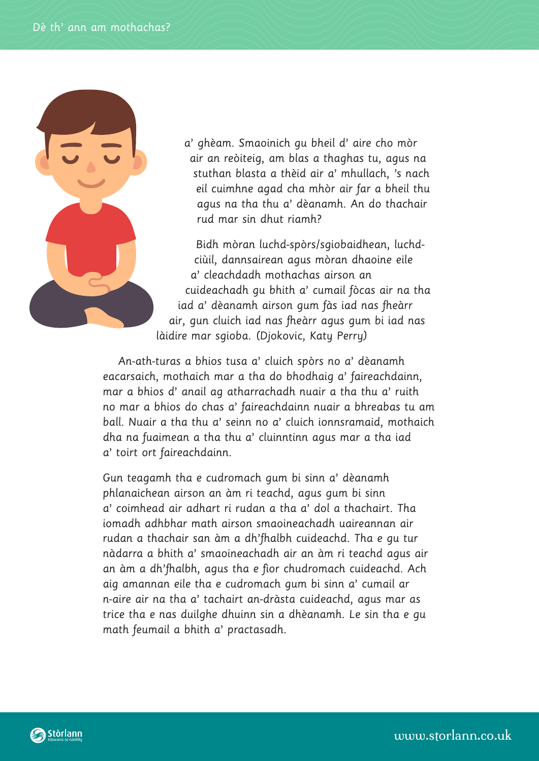

a' ghèam. Smaoinich gu bheil d' aire cho mòr air an reòiteig, am blas a thaghas tu, agus na stuthan blasta a thèid air a' mhullach, 's nach eil cuimhne agad cha mhòr air far a bheil thu agus na tha thu a' dèanamh. An do thachair rud mar sin dhut riamh?

Bidh mòran luchd-spòrs/sgiobaidhean, luchdciùil, dannsairean agus mòran dhaoine eile a' cleachdadh mothachas airson an cuideachadh gu bhith a' cumail fòcas air na tha iad a' dèanamh airson gum fàs iad nas fheàrr air, gun cluich iad nas fheàrr agus gum bi iad nas làidire mar sgioba. (Djokovic, Katy Perry)

An-ath-turas a bhios tusa a' cluich spòrs no a' dèanamh eacarsaich, mothaich mar a tha do bhodhaig a' faireachdainn, mar a bhios d' anail ag atharrachadh nuair a tha thu a' ruith no mar a bhios do chas a' faireachdainn nuair a bhreabas tu am ball. Nuair a tha thu a' seinn no a' cluich ionnsramaid, mothaich dha na fuaimean a tha thu a' cluinntinn agus mar a tha iad a' toirt ort faireachdainn.

Gun teagamh tha e cudromach gum bi sinn a' dèanamh phlanaichean airson an àm ri teachd, agus gum bi sinn a' coimhead air adhart ri rudan a tha a' dol a thachairt. Tha iomadh adhbhar math airson smaoineachadh uaireannan air rudan a thachair san àm a dh'fhalbh cuideachd. Tha e gu tur nàdarra a bhith a' smaoineachadh air an àm ri teachd agus air an àm a dh'fhalbh, agus tha e fìor chudromach cuideachd. Ach aig amannan eile tha e cudromach gum bi sinn a' cumail ar n-aire air na tha a' tachairt an-dràsta cuideachd, agus mar as trice tha e nas duilghe dhuinn sin a dhèanamh. Le sin tha e gu math feumail a bhith a' practasadh.